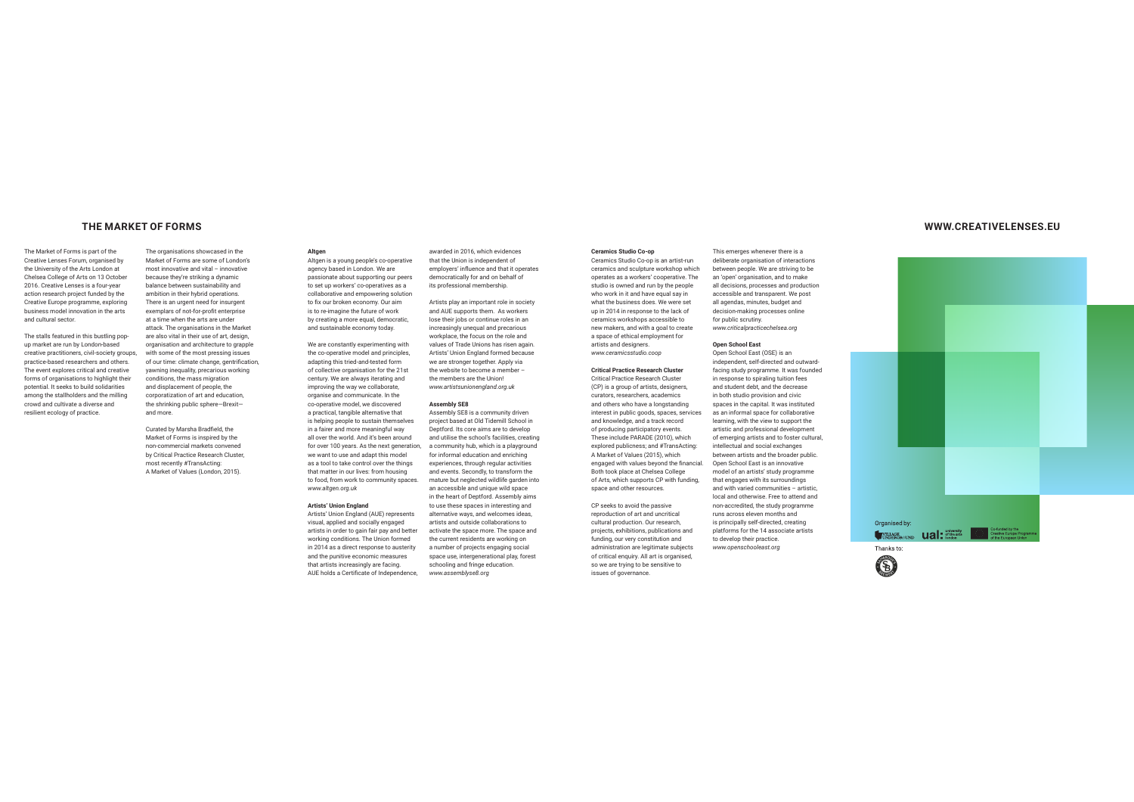# THE MARKET OF FORMS

The Market of Forms is part of the Creative Lenses Forum, organised by the University of the Arte London at Chelsea College of Arts on 13 October 2016. Creative Lenses is a four-year action research project funded by the Creative Europe programme, exploring business model innovation in the arts and cultural sector

The stalls featured in this bustling popup market are run by London-based creative practitioners, civil-society groups, practice-based researchers and others. The event explores critical and creative forms of organisations to highlight their potential. It seeks to build solidarities among the stallholders and the milling crowd and cultivate a diverse and resilient ecology of practice

Market of Forms are some of London's most innovative and vital - innovative because they're striking a dynamic balance between sustainability and ambition in their hybrid operations. There is an urgent need for insurgent exemplars of not-for-profit enterprise at a time when the arts are under attack. The organisations in the Market are also vital in their use of art, design.

The organisations showcased in the

organisation and architecture to grapple with some of the most pressing issues of our time: climate change, gentrification, vawning inequality, precarious working conditions, the mass migration and displacement of people, the corporatization of art and education, the shrinking public sphere-Brexitand more

Curated by Marsha Bradfield, the Market of Forms is inspired by the non-commercial markets convened by Critical Practice Research Cluster, most recently #TransActing: A Market of Values (London, 2015).

Altger Altrien is a vound people's co-operative agancy hasad in London Wa are passionate about supporting our peers to set up workers' co-operatives as a collaborative and empowering solution to fix our broken economy. Our aim is to re-imagine the future of work by creating a more equal, democratic. and sustainable economy today.

We are constantly experimenting with the co-operative model and principles, adapting this tried-and-tested form of collective organisation for the 21st century. We are always iterating and improving the way we collaborate, organise and communicate. In the co-operative model, we discovered a practical tangible alternative that is helping people to sustain themselves in a fairer and more meaningful way all over the world. And it's been around for over 100 years. As the next generation, we want to use and adapt this model

as a tool to take control over the things that matter in our lives: from housing to food, from work to community spaces. www.altgen.org.uk

# **Artists' Union England**

Artists' Union England (AUE) represents visual, applied and socially engaged artists in order to gain fair pay and better working conditions. The Union formed in 2014 as a direct response to austerity and the punitive economic measures that artists increasingly are facing. AUE holds a Certificate of Independence.

awarded in 2016, which evidences that the Union is independent of employers' influence and that it operates democratically for and on behalf of its professional membership.

Artists play an important role in society and AUF supports them. As workers lose their jobs or continue roles in an increasingly unequal and precarious workplace, the focus on the role and values of Trade Unions has risen again. Artists' Union England formed because we are stronger together. Apply via the website to become a member the members are the Union www.artistsunionengland.org.uk

### **Assembly SE8**

Assembly SE8 is a community driven project based at Old Tidemill School in Dentford Ite core aime are to develop and utilise the school's facilities, creating a community hub, which is a playground for informal education and enriching experiences, through regular activities and events. Secondly, to transform the mature but neglected wildlife garden into an accessible and unique wild space in the heart of Deptford. Assembly aims to use these spaces in interesting and alternative ways, and welcomes ideas. artists and outside collaborations to activate the space more. The space and the current residents are working on a number of projects engaging social space use, intergenerational play, forest schooling and fringe education. www.assemblyse8.org

Ceramics Studio Co-on is an artist-run caramice and equipture workebon which operates as a workers' cooperative. The studio is owned and run by the people who work in it and have equal say in what the business does. We were set un in 2014 in response to the lack of ceramics workshops accessible to new makers and with a goal to create a space of ethical employment for artists and designers. www.ceramicsstudio.coop

**Ceramics Studio Co-op** 

#### **Critical Practice Research Cluster** Critical Practice Research Cluster

(CP) is a group of artists, designers, curators, researchers, academics and others who have a longstanding interest in nublic goods, spaces, services and knowledge, and a track record of producing participatory events. These include PARADE (2010), which explored publicness; and #TransActing: A Market of Values (2015), which engaged with values beyond the financial. Both took place at Chelsea College of Arts, which supports CP with funding, space and other resources.

CP seeks to avoid the passive reproduction of art and uncritical cultural production. Our research, projects, exhibitions, publications and funding our very constitution and administration are legitimate subjects of critical enquiry. All art is organised so we are trying to be sensitive to issues of governance.

This emerges whenever there is a deliberate organisation of interactions hatwaan naonla Wa ara etriving to be an 'open' organisation, and to make all decisions, processes and production accessible and transparent. We post all agendas, minutes, budget and decision-making processes online for public scrutiny. www.criticalpracticechelsea.org

# **Open School East**

Open School East (OSE) is an independent, self-directed and outwardfacing study programme. It was founded in reconce to coireling tuition fees and student debt, and the decrease in both studio provision and civic spaces in the capital. It was instituted as an informal space for collaborative learning with the view to support the artietic and professional development of emerging artists and to foster cultural, intellectual and social exchanges between artists and the broader public. Open School East is an innovative model of an artists' study programme that engages with its surroundings and with varied communities - artistic. local and otherwise. Free to attend and non-accredited, the study programme runs across eleven months and is principally self-directed, creating platforms for the 14 associate artists to develop their practice www.openschooleast.org



WWW.CREATIVELENSES.EU